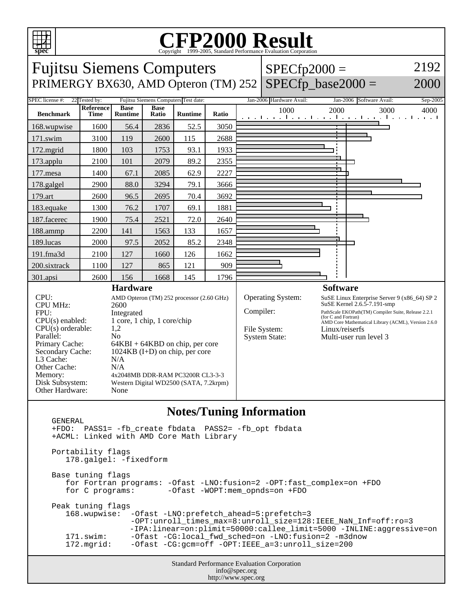

## C<sub>opyright</sub> ©1999-2005, Standard Performance Evaluation Corporation

Fujitsu Siemens Computers PRIMERGY BX630, AMD Opteron (TM) 252 SPECfp\_base2000 =  $SPECfp2000 =$ 2192 2000 SPEC license #: 22 Tested by: Fujitsu Siemens Computers Test date: Jan-2006 Hardware Avail: Jan-2006 Software Avail: Sep-2005 **Benchmark Reference Time Base Runtime Base Runtime Ratio** 1000 2000 3000 4000 168.wupwise 1600 56.4 2836 52.5 3050 171.swim | 3100 | 119 | 2600 | 115 | 2688 172.mgrid | 1800 | 103 | 1753 | 93.1 | 1933 173.applu | 2100 | 101 | 2079 | 89.2 | 2355 177.mesa | 1400 67.1 2085 62.9 2227 178.galgel | 2900 | 88.0 | 3294 | 79.1 | 3666 179.art | 2600 | 96.5 | 2695 | 70.4 | 3692 183.equake 1300 76.2 1707 69.1 1881 187.facerec | 1900 | 75.4 | 2521 | 72.0 | 2640 188.ammp | 2200 | 141 | 1563 | 133 | 1657 189.lucas | 2000 | 97.5 | 2052 | 85.2 | 2348 191.fma3d | 2100 | 127 | 1660 | 126 | 1662 200.sixtrack 1100 127 865 121 909 301.apsi 2600 156 1668 145 1796 **Hardware** CPU: AMD Opteron (TM) 252 processor (2.60 GHz) CPU MHz: 2600 FPU: Integrated  $CPU(s)$  enabled:  $1$  core, 1 chip, 1 core/chip<br>CPU(s) orderable:  $1,2$  $CPU(s)$  orderable: Parallel: No Primary Cache: 64KBI + 64KBD on chip, per core Secondary Cache: 1024KB (I+D) on chip, per core L3 Cache: N/A<br>Other Cache: N/A Other Cache: Memory: 4x2048MB DDR-RAM PC3200R CL3-3-3 Disk Subsystem: Western Digital WD2500 (SATA, 7.2krpm) Other Hardware: None **Software** Operating System: SuSE Linux Enterprise Server 9 (x86\_64) SP 2 SuSE Kernel 2.6.5-7.191-smp Compiler: PathScale EKOPath(TM) Compiler Suite, Release 2.2.1 (for C and Fortran) AMD Core Mathematical Library (ACML), Version 2.6.0 File System: Linux/reiserfs System State: Multi-user run level 3

## **Notes/Tuning Information**

 GENERAL +FDO: PASS1= -fb\_create fbdata PASS2= -fb\_opt fbdata +ACML: Linked with AMD Core Math Library Portability flags 178.galgel: -fixedform Base tuning flags for Fortran programs: -Ofast -LNO:fusion=2 -OPT:fast\_complex=on +FDO for C programs: -Ofast -WOPT:mem\_opnds=on +FDO Peak tuning flags 168.wupwise: -Ofast -LNO:prefetch\_ahead=5:prefetch=3 -OPT:unroll\_times\_max=8:unroll\_size=128:IEEE\_NaN\_Inf=off:ro=3 -IPA:linear=on:plimit=50000:callee\_limit=5000 -INLINE:aggressive=on 171.swim: -Ofast -CG:local\_fwd\_sched=on -LNO:fusion=2 -m3dnow<br>172.mgrid: -Ofast -CG:gcm=off -OPT:IEEE a=3:unroll size=200 -Ofast -CG:gcm=off -OPT:IEEE\_a=3:unroll\_size=200

Standard Performance Evaluation Corporation info@spec.org http://www.spec.org